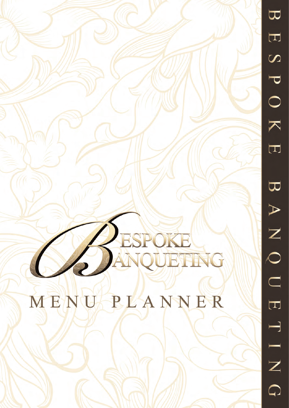$\overline{\mathbf{u}}$  $\boxed{\text{ }}\overline{\text{ }}\overline{\text{ }}\overline{\text{ }}\overline{\text{ }}\overline{\text{ }}\overline{\text{ }}\overline{\text{ }}\overline{\text{ }}\overline{\text{ }}\overline{\text{ }}\overline{\text{ }}\overline{\text{ }}\overline{\text{ }}\overline{\text{ }}\overline{\text{ }}\overline{\text{ }}\overline{\text{ }}\overline{\text{ }}\overline{\text{ }}\overline{\text{ }}\overline{\text{ }}\overline{\text{ }}\overline{\text{ }}\overline{\text{ }}\overline{\text{ }}\overline{\text{ }}\overline{\text{ }}\overline{\text{ }}\overline{\text{ }}\overline{\text{ }}\overline{\$  $\overline{S}$  $\overline{\mathbf{C}}$  $\bigcirc$  $\overline{\blacktriangledown}$  $\overline{\Box}$  $\overline{\mathbf{C}}$  $\blacktriangleright$ Z  $\overline{O}$  $\begin{bmatrix} 1 \\ 1 \end{bmatrix}$  $\overline{\phantom{0}}$ Ξ  $\overline{Z}$  $\bigcirc$ 

# ESPOKE

MENU PLANNER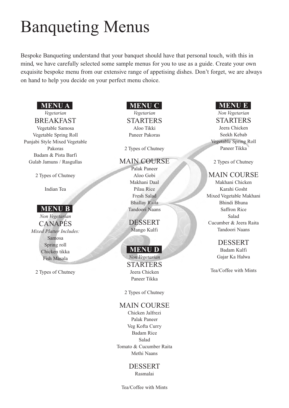## Banqueting Menus

Bespoke Banqueting understand that your banquet should have that personal touch, with this in mind, we have carefully selected some sample menus for you to use as a guide. Create your own exquisite bespoke menu from our extensive range of appetising dishes. Don't forget, we are always on hand to help you decide on your perfect menu choice.

#### **MENU A**

### *Vegetarian*

BREAKFAST Vegetable Samosa Vegetable Spring Roll Punjabi Style Mixed Vegetable Pakoras Badam & Pista Barfi Gulab Jamuns / Rasgullas

2 Types of Chutney

Indian Tea

#### **MENU B**

*Non Vegetarian* CANAPÉS *Mixed Platter Includes:* Samosa Spring roll Chicken tikka Fish Masala

2 Types of Chutney

#### **MENU C**

*Vegetarian* STARTERS Aloo Tikki Paneer Pakoras

2 Types of Chutney

#### MAIN COURSE

Palak Paneer Aloo Gobi Makhani Daal Pilau Rice Fresh Salad Bhallay Raita Tandoori Naans

DESSERT Mango Kulfi

#### **MENU D**

*Non Vegetarian* STARTERS Jeera Chicken Paneer Tikka

2 Types of Chutney

#### MAIN COURSE

Chicken Jalfrezi Palak Paneer Veg Kofta Curry Badam Rice Salad Tomato & Cucumber Raita Methi Naans

#### DESSERT

Rasmalai

Tea/Coffee with Mints

#### **MENU E**

*Non Vegetarian* **STARTERS** Jeera Chicken Seekh Kebab Vegetable Spring Roll Paneer Tikka

2 Types of Chutney

#### MAIN COURSE

Makhani Chicken Karahi Gosht Mixed Vegetable Makhani Bhindi Bhuna Saffron Rice Salad Cucumber & Jeera Raita Tandoori Naans

#### DESSERT

Badam Kulfi Gajar Ka Halwa

Tea/Coffee with Mints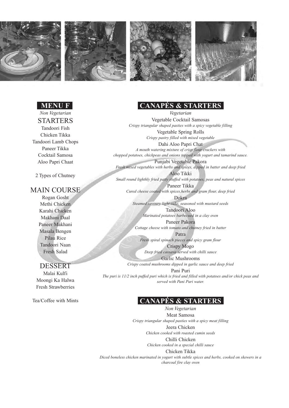







#### **MENU F**

*Non Vegetarian* STARTERS Tandoori Fish Chicken Tikka Tandoori Lamb Chops Paneer Tikka Cocktail Samosa Aloo Papri Chaat

2 Types of Chutney

#### MAIN COURSE

Rogan Gosht Methi Chicken Karahi Chicken Makhani Daal Paneer Makhani Masala Bengen Pilau Rice Tandoori Naan Fresh Salad

#### DESSERT

Malai Kulfi Moongi Ka Halwa Fresh Strawberries

Tea/Coffee with Mints

#### **CANAPÉS & STARTERS**

*Vegetarian* Vegetable Cocktail Samosas *Crispy triangular shaped pasties with a spicy vegetable filling* Vegetable Spring Rolls *Crispy pastry filled with mixed vegetable* Dahi Aloo Papri Chat *A mouth watering mixture of crisp flour crackers with chopped potatoes, chickpeas and onions topped with yogurt and tamarind sauce.* Punjabi Vegetable Pakora *Fresh mixed vegetables with herbs and spices, dipped in batter and deep fried* Aloo Tikki *Small round lighthly fried patty stuffed with potatoes, peas and natural spices* Paneer Tikka *Cured cheese coated with spices,herbs and gram flour, deep fried* Dokra *Steamed savoury light cake, seasoned with mustard seeds*

Tandoori Aloo *Marinated potatoes barbecued in a clay oven*

Paneer Pakora *Cottage cheese with tomato and chutney fried in batter* Patra

*Fresh spiral spinach pieces and spicy gram flour* Crispy Mogo *Deep fried cassava served with chilli sauce*

Garlic Mushrooms

*Crispy coated mushrooms dipped in garlic sauce and deep fried*

Pani Puri *The puri is 11/2 inch puffed puri which is fried and filled with potatoes and/or chick peas and served with Pani Puri water.*

#### **CANAPÉS & STARTERS**

*Non Vegetarian* Meat Samosa *Crispy triangular shaped pasties with a spicy meat filling* Jeera Chicken *Chicken cooked with roasted cumin seeds* Chilli Chicken *Chicken cooked in a special chilli sauce* Chicken Tikka *Diced boneless chicken marinated in yogurt with subtle spices and herbs, cooked on skewers in a charcoal fire clay oven*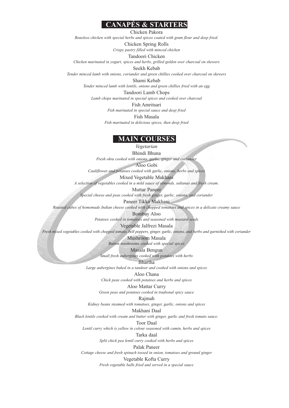#### **CANAPÉS & STARTERS**

Chicken Pakora

*Boneless chicken with special herbs and spices coated with gram flour and deep fried.*

Chicken Spring Rolls

*Crispy pastry filled with minced chicken*

Tandoori Chicken *Chicken marinated in yogurt, spices and herbs, grilled golden over charcoal on skewers*

Seekh Kebab

*Tender minced lamb with onions, coriander and green chillies cooked over charcoal on skewers*

Shami Kebab *Tender minced lamb with lentils, onions and green chillies fried with an egg* Tandoori Lamb Chops

*Lamb chops marinated in special spices and cooked over charcoal*

Fish Amritsari

*Fish marinated in special sauce and deep fried*

Fish Masala

*Fish marinated in delicious spices, then deep fried*

#### **MAIN COURSES**

*Vegetarian* Bhindi Bhuna *Fresh okra cooked with onions, garlic, ginger and coriander*

Aloo Gobi

*Cauliflower and potatoes cooked with garlic, onions, herbs and spices*

Mixed Vegetable Makhani

*A selection of vegetables cooked in a mild sauce of almonds, sultanas and fresh cream.*

Muttar Paneer

*Special cheese and peas cooked with fresh ginger, garlic, onions, and coriander*

Paneer Tikka Makhani

*Roasted cubes of homemade Indian cheese cooked with chopped tomatoes and spices in a delicate creamy sauce*

Bombay Aloo

*Potatoes cooked in tomatoes and seasoned with mustard seeds*

Vegetable Jalfrezi Masala

*Fresh mixed vegetables cooked with chopped tomato, bell peppers, ginger, garlic, onions, and herbs and garnished with coriander*

Mushroom Masala *Button mushrooms cooked with special spices*

Masala Bengun *Small fresh aubergines cooked with potatoes with herbs*

Bhartha

*Large aubergines baked in a tandoor and cooked with onions and spices*

Aloo Chana

*Chick peas cooked with potatoes and herbs and spices*

Aloo Mattar Curry

*Green peas and potatoes cooked in tradional spicy sauce*

Rajmah

*Kidney beans steamed with tomatoes, ginger, garlic, onions and spices*

Makhani Daal

*Black lentils cooked with cream and butter with ginger, garlic and fresh tomato sauce.*

Toor Daal

*Lentil curry which is yellow in colour seasoned with cumin, herbs and spices* Tarka daal

*Split chick pea lentil curry cooked with herbs and spices*

Palak Paneer

*Cottage cheese and fresh spinach tossed in onion, tomatoes and ground ginger*

Vegetable Kofta Curry

*Fresh vegetable balls fried and served in a special sauce*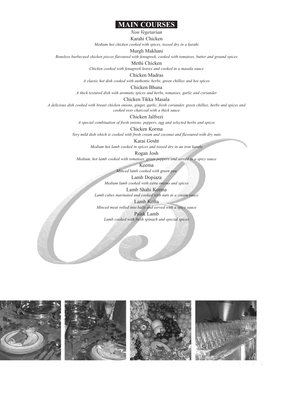#### **MAIN COURSES**

*Non Vegetarian*

Karahi Chicken

*Medium hot chicken cooked with spices, tossed dry in a karahi*

#### Murgh Makhani

*Boneless barbecued chicken pieces flavoured with fenugreek, cooked with tomatoes, butter and ground spices*

Methi Chicken

*Chicken cooked with fenugreek leaves and cooked in a masala sauce*

Chicken Madras

*A classic hot dish cooked with authentic herbs, green chillies and hot spices*

Chicken Bhuna

*A thick textured dish with aromatic spices and herbs, tomatoes, garlic and coriander*

Chicken Tikka Masala

*A delicious dish cooked with breast chicken onions, ginger, garlic, fresh coriander, green chillies, herbs and spices and cooked over charcoal with a thick sauce*

Chicken Jalfrezi

*A special combination of fresh onions, peppers, egg and selected herbs and spices*

Chicken Korma

*Very mild dish which is cooked with fresh cream and coconut and flavoured with dry nuts*

Karai Gosht

*Medium hot lamb cooked in spices and tossed dry in an iron karahi*

Rogan Josh

*Medium, hot lamb cooked with tomatoes, green peppers and served in a spicy sauce*

Keema

*Minced lamb cooked with green pea*

Lamb Dopiaza

*Medium lamb cooked with extra onions and spices*

Lamb Shahi Korma *Lamb cubes marinated and cooked with nuts in a cream sauce*

Lamb Kofta *Minced meat rolled into balls and served with a spicy sauce* Palak Lamb

*Lamb cooked with fresh spinach and special spices*

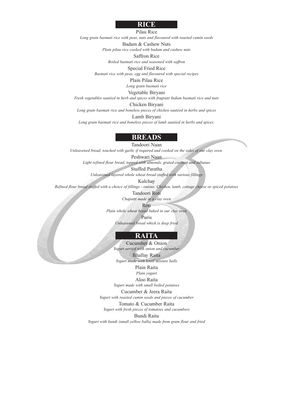#### **RICE**

Pilau Rice

*Long grain basmati rice with peas, nuts and flavoured with roasted cumin seeds*

Badam & Cashew Nuts

*Plain pilau rice cooked with badam and cashew nuts*

Saffron Rice

*Boiled basmati rice and seasoned with saffron*

Special Fried Rice

*Basmati rice with peas, egg and flavoured with special recipes*

Plain Pilau Rice

*Long grain basmati rice*

Vegetable Biryani

*Fresh vegetables sautéed in herb and spices with fragrant Indian basmati rice and nuts*

Chicken Biryani

*Long grain basmati rice and boneless pieces of chicken sautéed in herbs and spices*

Lamb Biryani

*Long grain basmati rice and boneless pieces of lamb sautéed in herbs and spices.*

#### **BREADS**

Tandoori Naan *Unleavened bread, touched with garlic if required and cooked on the sides of our clay oven.*

Peshwari Naan *Light refined flour bread, topped with almonds, grated coconut and sultanas*

Stuffed Paratha *Unleavened layered whole wheat bread stuffed with various fillings*

Kulchay

*Refined flour bread stuffed with a choice of fillings - onions. Chicken, lamb, cottage cheese or spiced potatoes*

Tandoori Roti *Chapatti made in a clay oven*

Roti

*Plain whole wheat bread baked in our clay oven*

Puris

*Unleavened bread which is deep fried*

#### **RAITA**

Cucumber & Onion *Yogurt served with onion and cucumber* Bhallay Raita *Yogurt made with lentil mixture balls*

> Plain Raita *Plain yogurt*

Aloo Raita *Yogurt made with small boiled potatoes*

Cucumber & Jeera Raita

*Yogurt with roasted cumin seeds and pieces of cucumber*

Tomato & Cucumber Raita *Yogurt with fresh pieces of tomatoes and cucumbers*

Bundi Raita

*Yogurt with bundi (small yellow balls) made from gram flour and fried*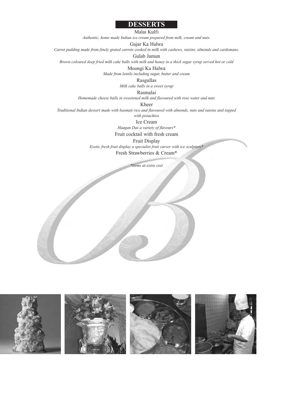#### **DESSERTS**

Malai Kulfi

*Authentic, home made Indian ice cream prepared from milk, cream and nuts.*

Gajar Ka Halwa

*Carrot pudding made from finely grated carrots cooked in milk with cashews, raisins, almonds and cardomans.*

Gulab Jamun

*Brown coloured deep fried milk cake balls with milk and honey in a thick sugar syrup served hot or cold*

Moongi Ka Halwa

*Made from lentils including sugar, butter and cream*

Rasgullas

*Milk cake balls in a sweet syrup*

Rasmalai

*Homemade cheese balls in sweetened milk and flavoured with rose water and nuts*

Kheer

*Traditional Indian dessert made with basmati rice and flavoured with almonds, nuts and raisins and topped*

*with pistachios*

Ice Cream *Haagan Das a variety of flavours\**

Fruit cocktail with fresh cream

Fruit Display *Exotic fresh fruit display a specialist fruit carver with ice sculpture\**

Fresh Strawberries & Cream\*

*\*items at extra cost*